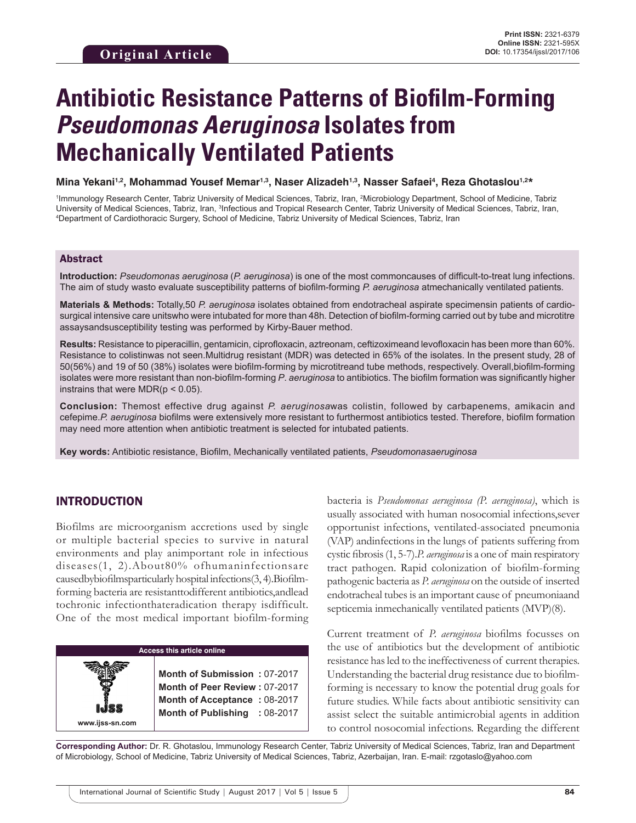# **Antibiotic Resistance Patterns of Biofilm-Forming**  *Pseudomonas Aeruginosa* **Isolates from Mechanically Ventilated Patients**

**Mina Yekani1,2, Mohammad Yousef Memar1,3, Naser Alizadeh1,3, Nasser Safaei4 , Reza Ghotaslou1,2\***

<sup>1</sup>Immunology Research Center, Tabriz University of Medical Sciences, Tabriz, Iran, <sup>2</sup>Microbiology Department, School of Medicine, Tabriz University of Medical Sciences, Tabriz, Iran, <sup>3</sup>Infectious and Tropical Research Center, Tabriz University of Medical Sciences, Tabriz, Iran,<br>"Denartment of Cardiothoracic Surgery, School of Medicine, Tabriz University of Department of Cardiothoracic Surgery, School of Medicine, Tabriz University of Medical Sciences, Tabriz, Iran

### Abstract

**Introduction:** *Pseudomonas aeruginosa* (*P. aeruginosa*) is one of the most commoncauses of difficult-to-treat lung infections. The aim of study wasto evaluate susceptibility patterns of biofilm-forming *P. aeruginosa* atmechanically ventilated patients*.*

**Materials & Methods:** Totally,50 *P. aeruginosa* isolates obtained from endotracheal aspirate specimensin patients of cardiosurgical intensive care unitswho were intubated for more than 48h. Detection of biofilm-forming carried out by tube and microtitre assaysandsusceptibility testing was performed by Kirby-Bauer method.

**Results:** Resistance to piperacillin, gentamicin, ciprofloxacin, aztreonam, ceftizoximeand levofloxacin has been more than 60%. Resistance to colistinwas not seen.Multidrug resistant (MDR) was detected in 65% of the isolates. In the present study, 28 of 50(56%) and 19 of 50 (38%) isolates were biofilm-forming by microtitreand tube methods, respectively. Overall,biofilm-forming isolates were more resistant than non-biofilm-forming *P*. *aeruginosa* to antibiotics. The biofilm formation was significantly higher instrains that were  $MDR(p < 0.05)$ .

**Conclusion:** Themost effective drug against *P. aeruginosa*was colistin, followed by carbapenems, amikacin and cefepime.*P. aeruginosa* biofilms were extensively more resistant to furthermost antibiotics tested. Therefore, biofilm formation may need more attention when antibiotic treatment is selected for intubated patients.

**Key words:** Antibiotic resistance, Biofilm, Mechanically ventilated patients, *Pseudomonasaeruginosa*

# INTRODUCTION

Biofilms are microorganism accretions used by single or multiple bacterial species to survive in natural environments and play animportant role in infectious diseases(1, 2).About80% ofhumaninfectionsare causedbybiofilmsparticularly hospital infections(3, 4).Biofilmforming bacteria are resistanttodifferent antibiotics,andlead tochronic infectionthateradication therapy isdifficult. One of the most medical important biofilm-forming

| <b>Access this article online</b> |                                                                                                                                       |  |
|-----------------------------------|---------------------------------------------------------------------------------------------------------------------------------------|--|
| www.ijss-sn.com                   | Month of Submission: 07-2017<br>Month of Peer Review: 07-2017<br><b>Month of Acceptance: 08-2017</b><br>Month of Publishing : 08-2017 |  |

bacteria is *Pseudomonas aeruginosa (P. aeruginosa)*, which is usually associated with human nosocomial infections,sever opportunist infections, ventilated-associated pneumonia (VAP) andinfections in the lungs of patients suffering from cystic fibrosis (1, 5-7).*P. aeruginosa* is a one of main respiratory tract pathogen. Rapid colonization of biofilm-forming pathogenic bacteria as *P. aeruginosa* on the outside of inserted endotracheal tubes is an important cause of pneumoniaand septicemia inmechanically ventilated patients (MVP)(8).

Current treatment of *P. aeruginosa* biofilms focusses on the use of antibiotics but the development of antibiotic resistance has led to the ineffectiveness of current therapies. Understanding the bacterial drug resistance due to biofilmforming is necessary to know the potential drug goals for future studies. While facts about antibiotic sensitivity can assist select the suitable antimicrobial agents in addition to control nosocomial infections. Regarding the different

**Corresponding Author:** Dr. R. Ghotaslou, Immunology Research Center, Tabriz University of Medical Sciences, Tabriz, Iran and Department of Microbiology, School of Medicine, Tabriz University of Medical Sciences, Tabriz, Azerbaijan, Iran. E-mail: rzgotaslo@yahoo.com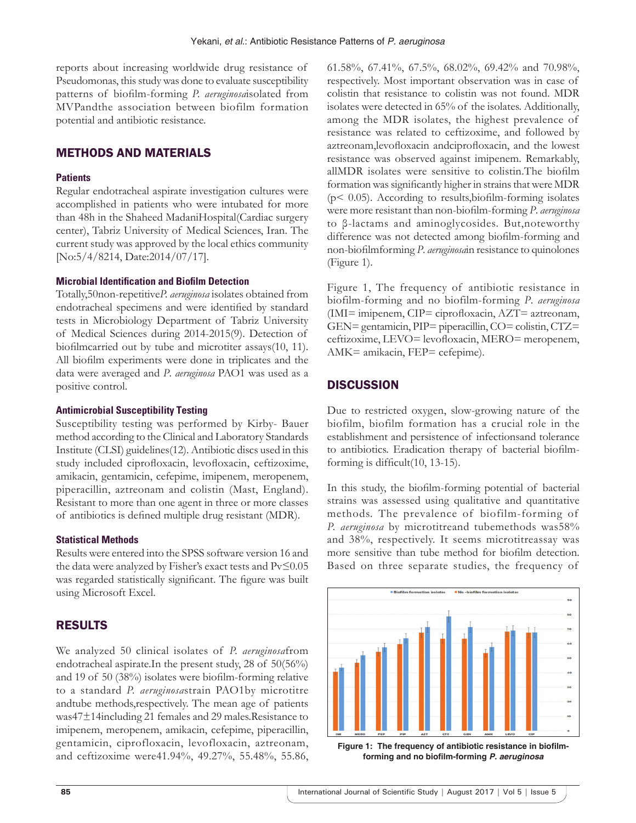reports about increasing worldwide drug resistance of Pseudomonas, this study was done to evaluate susceptibility patterns of biofilm-forming *P. aeruginosa*isolated from MVPandthe association between biofilm formation potential and antibiotic resistance.

# METHODS AND MATERIALS

#### **Patients**

Regular endotracheal aspirate investigation cultures were accomplished in patients who were intubated for more than 48h in the Shaheed MadaniHospital(Cardiac surgery center), Tabriz University of Medical Sciences, Iran. The current study was approved by the local ethics community [No:5/4/8214, Date:2014/07/17].

#### **Microbial Identification and Biofilm Detection**

Totally,50non-repetitive*P. aeruginosa* isolates obtained from endotracheal specimens and were identified by standard tests in Microbiology Department of Tabriz University of Medical Sciences during 2014-2015(9). Detection of biofilmcarried out by tube and microtiter assays(10, 11). All biofilm experiments were done in triplicates and the data were averaged and *P*. *aeruginosa* PAO1 was used as a positive control.

#### **Antimicrobial Susceptibility Testing**

Susceptibility testing was performed by Kirby- Bauer method according to the Clinical and Laboratory Standards Institute (CLSI) guidelines(12). Antibiotic discs used in this study included ciprofloxacin, levofloxacin, ceftizoxime, amikacin, gentamicin, cefepime, imipenem, meropenem, piperacillin, aztreonam and colistin (Mast, England). Resistant to more than one agent in three or more classes of antibiotics is defined multiple drug resistant (MDR).

#### **Statistical Methods**

Results were entered into the SPSS software version 16 and the data were analyzed by Fisher's exact tests and Pv≤0.05 was regarded statistically significant. The figure was built using Microsoft Excel.

# RESULTS

We analyzed 50 clinical isolates of *P. aeruginosa*from endotracheal aspirate.In the present study, 28 of 50(56%) and 19 of 50 (38%) isolates were biofilm-forming relative to a standard *P. aeruginosa*strain PAO1by microtitre andtube methods,respectively. The mean age of patients was47±14including 21 females and 29 males.Resistance to imipenem, meropenem, amikacin, cefepime, piperacillin, gentamicin, ciprofloxacin, levofloxacin, aztreonam, and ceftizoxime were41.94%, 49.27%, 55.48%, 55.86, 61.58%, 67.41%, 67.5%, 68.02%, 69.42% and 70.98%, respectively. Most important observation was in case of colistin that resistance to colistin was not found. MDR isolates were detected in 65% of the isolates. Additionally, among the MDR isolates, the highest prevalence of resistance was related to ceftizoxime, and followed by aztreonam,levofloxacin andciprofloxacin, and the lowest resistance was observed against imipenem. Remarkably, allMDR isolates were sensitive to colistin.The biofilm formation was significantly higher in strains that were MDR  $(p< 0.05)$ . According to results, biofilm-forming isolates were more resistant than non-biofilm-forming *P*. *aeruginosa* to β-lactams and aminoglycosides. But,noteworthy difference was not detected among biofilm-forming and non-biofilmforming *P*. *aeruginosa*in resistance to quinolones (Figure 1).

Figure 1, The frequency of antibiotic resistance in biofilm-forming and no biofilm-forming *P*. *aeruginosa*  (IMI= imipenem, CIP= ciprofloxacin, AZT= aztreonam, GEN= gentamicin, PIP= piperacillin, CO= colistin, CTZ= ceftizoxime, LEVO= levofloxacin, MERO= meropenem, AMK= amikacin, FEP= cefepime).

# **DISCUSSION**

Due to restricted oxygen, slow-growing nature of the biofilm, biofilm formation has a crucial role in the establishment and persistence of infectionsand tolerance to antibiotics. Eradication therapy of bacterial biofilmforming is difficult(10, 13-15).

In this study, the biofilm-forming potential of bacterial strains was assessed using qualitative and quantitative methods. The prevalence of biofilm-forming of *P. aeruginosa* by microtitreand tubemethods was58% and 38%, respectively. It seems microtitreassay was more sensitive than tube method for biofilm detection. Based on three separate studies, the frequency of



**Figure 1: The frequency of antibiotic resistance in biofilmforming and no biofilm-forming** *P. aeruginosa*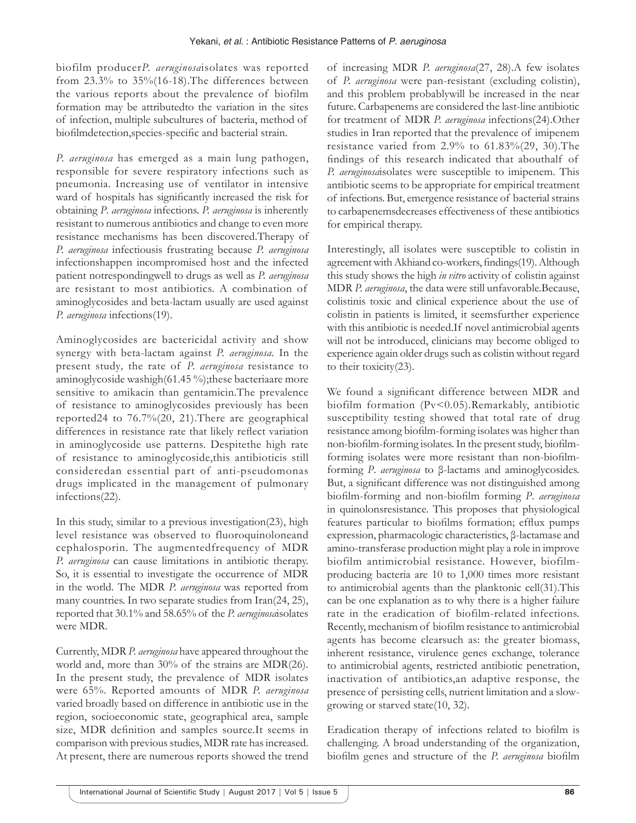biofilm producer*P. aeruginosa*isolates was reported from 23.3% to 35%(16-18).The differences between the various reports about the prevalence of biofilm formation may be attributedto the variation in the sites of infection, multiple subcultures of bacteria, method of biofilmdetection,species-specific and bacterial strain.

*P. aeruginosa* has emerged as a main lung pathogen, responsible for severe respiratory infections such as pneumonia. Increasing use of ventilator in intensive ward of hospitals has significantly increased the risk for obtaining *P*. *aeruginosa* infections. *P. aeruginosa* is inherently resistant to numerous antibiotics and change to even more resistance mechanisms has been discovered.Therapy of *P. aeruginosa* infectiousis frustrating because *P. aeruginosa*  infectionshappen incompromised host and the infected patient notrespondingwell to drugs as well as *P. aeruginosa* are resistant to most antibiotics. A combination of aminoglycosides and beta-lactam usually are used against *P. aeruginosa* infections(19).

Aminoglycosides are bactericidal activity and show synergy with beta-lactam against *P. aeruginosa.* In the present study*,* the rate of *P. aeruginosa* resistance to aminoglycoside washigh(61.45 %);these bacteriaare more sensitive to amikacin than gentamicin.The prevalence of resistance to aminoglycosides previously has been reported24 to 76.7%(20, 21).There are geographical differences in resistance rate that likely reflect variation in aminoglycoside use patterns. Despitethe high rate of resistance to aminoglycoside,this antibioticis still consideredan essential part of anti-pseudomonas drugs implicated in the management of pulmonary infections(22).

In this study, similar to a previous investigation(23), high level resistance was observed to fluoroquinoloneand cephalosporin. The augmentedfrequency of MDR *P. aeruginosa* can cause limitations in antibiotic therapy. So, it is essential to investigate the occurrence of MDR in the world. The MDR *P. aeruginosa* was reported from many countries. In two separate studies from Iran(24, 25), reported that 30.1% and 58.65% of the *P. aeruginosa*isolates were MDR.

Currently, MDR *P. aeruginosa* have appeared throughout the world and, more than 30% of the strains are MDR(26). In the present study, the prevalence of MDR isolates were 65%. Reported amounts of MDR *P. aeruginosa*  varied broadly based on difference in antibiotic use in the region, socioeconomic state, geographical area, sample size, MDR definition and samples source.It seems in comparison with previous studies, MDR rate has increased. At present, there are numerous reports showed the trend

of increasing MDR *P. aeruginosa*(27, 28).A few isolates of *P. aeruginosa* were pan-resistant (excluding colistin), and this problem probablywill be increased in the near future. Carbapenems are considered the last-line antibiotic for treatment of MDR *P. aeruginosa* infections(24).Other studies in Iran reported that the prevalence of imipenem resistance varied from 2.9% to 61.83%(29, 30).The findings of this research indicated that abouthalf of *P. aeruginosa*isolates were susceptible to imipenem. This antibiotic seems to be appropriate for empirical treatment of infections. But, emergence resistance of bacterial strains to carbapenemsdecreases effectiveness of these antibiotics for empirical therapy.

Interestingly, all isolates were susceptible to colistin in agreement with Akhiand co-workers, findings(19). Although this study shows the high *in vitro* activity of colistin against MDR *P. aeruginosa*, the data were still unfavorable.Because, colistinis toxic and clinical experience about the use of colistin in patients is limited, it seemsfurther experience with this antibiotic is needed.If novel antimicrobial agents will not be introduced, clinicians may become obliged to experience again older drugs such as colistin without regard to their toxicity(23).

We found a significant difference between MDR and biofilm formation (Pv<0.05).Remarkably, antibiotic susceptibility testing showed that total rate of drug resistance among biofilm-forming isolates was higher than non-biofilm-forming isolates. In the present study, biofilmforming isolates were more resistant than non-biofilmforming *P*. *aeruginosa* to β-lactams and aminoglycosides. But, a significant difference was not distinguished among biofilm-forming and non-biofilm forming *P*. *aeruginosa* in quinolonsresistance. This proposes that physiological features particular to biofilms formation; efflux pumps expression, pharmacologic characteristics, β-lactamase and amino-transferase production might play a role in improve biofilm antimicrobial resistance. However, biofilmproducing bacteria are 10 to 1,000 times more resistant to antimicrobial agents than the planktonic cell(31).This can be one explanation as to why there is a higher failure rate in the eradication of biofilm-related infections. Recently, mechanism of biofilm resistance to antimicrobial agents has become clearsuch as: the greater biomass, inherent resistance, virulence genes exchange, tolerance to antimicrobial agents, restricted antibiotic penetration, inactivation of antibiotics,an adaptive response, the presence of persisting cells, nutrient limitation and a slowgrowing or starved state(10, 32).

Eradication therapy of infections related to biofilm is challenging. A broad understanding of the organization, biofilm genes and structure of the *P. aeruginosa* biofilm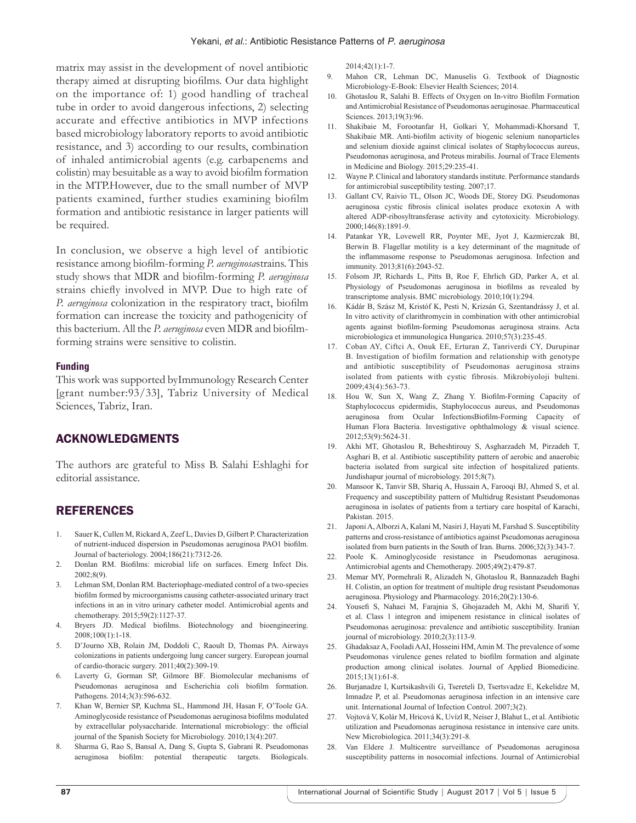matrix may assist in the development of novel antibiotic therapy aimed at disrupting biofilms. Our data highlight on the importance of: 1) good handling of tracheal tube in order to avoid dangerous infections, 2) selecting accurate and effective antibiotics in MVP infections based microbiology laboratory reports to avoid antibiotic resistance, and 3) according to our results, combination of inhaled antimicrobial agents (e.g. carbapenems and colistin) may besuitable as a way to avoid biofilm formation in the MTP.However, due to the small number of MVP patients examined, further studies examining biofilm formation and antibiotic resistance in larger patients will be required.

In conclusion, we observe a high level of antibiotic resistance among biofilm-forming *P. aeruginosa*strains. This study shows that MDR and biofilm-forming *P. aeruginosa* strains chiefly involved in MVP. Due to high rate of *P. aeruginosa* colonization in the respiratory tract, biofilm formation can increase the toxicity and pathogenicity of this bacterium. All the *P. aeruginosa* even MDR and biofilmforming strains were sensitive to colistin.

#### **Funding**

This work was supported byImmunology Research Center [grant number:93/33], Tabriz University of Medical Sciences, Tabriz, Iran.

# ACKNOWLEDGMENTS

The authors are grateful to Miss B. Salahi Eshlaghi for editorial assistance.

## REFERENCES

- 1. Sauer K, Cullen M, Rickard A, Zeef L, Davies D, Gilbert P. Characterization of nutrient-induced dispersion in Pseudomonas aeruginosa PAO1 biofilm. Journal of bacteriology. 2004;186(21):7312-26.
- 2. Donlan RM. Biofilms: microbial life on surfaces. Emerg Infect Dis. 2002;8(9).
- 3. Lehman SM, Donlan RM. Bacteriophage-mediated control of a two-species biofilm formed by microorganisms causing catheter-associated urinary tract infections in an in vitro urinary catheter model. Antimicrobial agents and chemotherapy. 2015;59(2):1127-37.
- 4. Bryers JD. Medical biofilms. Biotechnology and bioengineering. 2008;100(1):1-18.
- 5. D'Journo XB, Rolain JM, Doddoli C, Raoult D, Thomas PA. Airways colonizations in patients undergoing lung cancer surgery. European journal of cardio-thoracic surgery. 2011;40(2):309-19.
- 6. Laverty G, Gorman SP, Gilmore BF. Biomolecular mechanisms of Pseudomonas aeruginosa and Escherichia coli biofilm formation. Pathogens. 2014;3(3):596-632.
- 7. Khan W, Bernier SP, Kuchma SL, Hammond JH, Hasan F, O'Toole GA. Aminoglycoside resistance of Pseudomonas aeruginosa biofilms modulated by extracellular polysaccharide. International microbiology: the official journal of the Spanish Society for Microbiology. 2010;13(4):207.
- 8. Sharma G, Rao S, Bansal A, Dang S, Gupta S, Gabrani R. Pseudomonas aeruginosa biofilm: potential therapeutic targets. Biologicals.

2014;42(1):1-7.

- 9. Mahon CR, Lehman DC, Manuselis G. Textbook of Diagnostic Microbiology-E-Book: Elsevier Health Sciences; 2014.
- 10. Ghotaslou R, Salahi B. Effects of Oxygen on In-vitro Biofilm Formation and Antimicrobial Resistance of Pseudomonas aeruginosae. Pharmaceutical Sciences. 2013;19(3):96.
- 11. Shakibaie M, Forootanfar H, Golkari Y, Mohammadi-Khorsand T, Shakibaie MR. Anti-biofilm activity of biogenic selenium nanoparticles and selenium dioxide against clinical isolates of Staphylococcus aureus, Pseudomonas aeruginosa, and Proteus mirabilis. Journal of Trace Elements in Medicine and Biology. 2015;29:235-41.
- 12. Wayne P. Clinical and laboratory standards institute. Performance standards for antimicrobial susceptibility testing. 2007;17.
- 13. Gallant CV, Raivio TL, Olson JC, Woods DE, Storey DG. Pseudomonas aeruginosa cystic fibrosis clinical isolates produce exotoxin A with altered ADP-ribosyltransferase activity and cytotoxicity. Microbiology. 2000;146(8):1891-9.
- 14. Patankar YR, Lovewell RR, Poynter ME, Jyot J, Kazmierczak BI, Berwin B. Flagellar motility is a key determinant of the magnitude of the inflammasome response to Pseudomonas aeruginosa. Infection and immunity. 2013;81(6):2043-52.
- 15. Folsom JP, Richards L, Pitts B, Roe F, Ehrlich GD, Parker A, et al. Physiology of Pseudomonas aeruginosa in biofilms as revealed by transcriptome analysis. BMC microbiology. 2010;10(1):294.
- 16. Kádár B, Szász M, Kristóf K, Pesti N, Krizsán G, Szentandrássy J, et al. In vitro activity of clarithromycin in combination with other antimicrobial agents against biofilm-forming Pseudomonas aeruginosa strains. Acta microbiologica et immunologica Hungarica. 2010;57(3):235-45.
- 17. Coban AY, Ciftci A, Onuk EE, Erturan Z, Tanriverdi CY, Durupinar B. Investigation of biofilm formation and relationship with genotype and antibiotic susceptibility of Pseudomonas aeruginosa strains isolated from patients with cystic fibrosis. Mikrobiyoloji bulteni. 2009;43(4):563-73.
- 18. Hou W, Sun X, Wang Z, Zhang Y. Biofilm-Forming Capacity of Staphylococcus epidermidis, Staphylococcus aureus, and Pseudomonas aeruginosa from Ocular InfectionsBiofilm-Forming Capacity of Human Flora Bacteria. Investigative ophthalmology & visual science. 2012;53(9):5624-31.
- 19. Akhi MT, Ghotaslou R, Beheshtirouy S, Asgharzadeh M, Pirzadeh T, Asghari B, et al. Antibiotic susceptibility pattern of aerobic and anaerobic bacteria isolated from surgical site infection of hospitalized patients. Jundishapur journal of microbiology. 2015;8(7).
- 20. Mansoor K, Tanvir SB, Shariq A, Hussain A, Farooqi BJ, Ahmed S, et al. Frequency and susceptibility pattern of Multidrug Resistant Pseudomonas aeruginosa in isolates of patients from a tertiary care hospital of Karachi, Pakistan. 2015.
- 21. Japoni A, Alborzi A, Kalani M, Nasiri J, Hayati M, Farshad S. Susceptibility patterns and cross-resistance of antibiotics against Pseudomonas aeruginosa isolated from burn patients in the South of Iran. Burns. 2006;32(3):343-7.
- 22. Poole K. Aminoglycoside resistance in Pseudomonas aeruginosa. Antimicrobial agents and Chemotherapy. 2005;49(2):479-87.
- 23. Memar MY, Pormehrali R, Alizadeh N, Ghotaslou R, Bannazadeh Baghi H. Colistin, an option for treatment of multiple drug resistant Pseudomonas aeruginosa. Physiology and Pharmacology. 2016;20(2):130-6.
- 24. Yousefi S, Nahaei M, Farajnia S, Ghojazadeh M, Akhi M, Sharifi Y, et al. Class 1 integron and imipenem resistance in clinical isolates of Pseudomonas aeruginosa: prevalence and antibiotic susceptibility. Iranian journal of microbiology. 2010;2(3):113-9.
- 25. Ghadaksaz A, Fooladi AAI, Hosseini HM, Amin M. The prevalence of some Pseudomonas virulence genes related to biofilm formation and alginate production among clinical isolates. Journal of Applied Biomedicine. 2015;13(1):61-8.
- 26. Burjanadze I, Kurtsikashvili G, Tsereteli D, Tsertsvadze E, Kekelidze M, Imnadze P, et al. Pseudomonas aeruginosa infection in an intensive care unit. International Journal of Infection Control. 2007;3(2).
- 27. Vojtová V, Kolár M, Hricová K, Uvízl R, Neiser J, Blahut L, et al. Antibiotic utilization and Pseudomonas aeruginosa resistance in intensive care units. New Microbiologica. 2011;34(3):291-8.
- 28. Van Eldere J. Multicentre surveillance of Pseudomonas aeruginosa susceptibility patterns in nosocomial infections. Journal of Antimicrobial